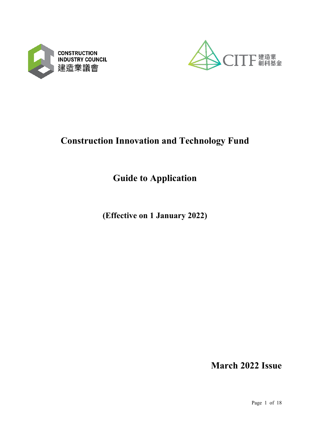



# **Construction Innovation and Technology Fund**

# **Guide to Application**

**(Effective on 1 January 2022)**

**March 2022 Issue**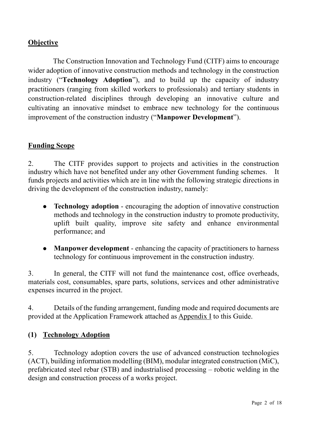### **Objective**

The Construction Innovation and Technology Fund (CITF) aims to encourage wider adoption of innovative construction methods and technology in the construction industry ("**Technology Adoption**"), and to build up the capacity of industry practitioners (ranging from skilled workers to professionals) and tertiary students in construction-related disciplines through developing an innovative culture and cultivating an innovative mindset to embrace new technology for the continuous improvement of the construction industry ("**Manpower Development**").

#### **Funding Scope**

2. The CITF provides support to projects and activities in the construction industry which have not benefited under any other Government funding schemes. It funds projects and activities which are in line with the following strategic directions in driving the development of the construction industry, namely:

- **Technology adoption** encouraging the adoption of innovative construction methods and technology in the construction industry to promote productivity, uplift built quality, improve site safety and enhance environmental performance; and
- **Manpower development**  enhancing the capacity of practitioners to harness technology for continuous improvement in the construction industry.

3. In general, the CITF will not fund the maintenance cost, office overheads, materials cost, consumables, spare parts, solutions, services and other administrative expenses incurred in the project.

4. Details of the funding arrangement, funding mode and required documents are provided at the Application Framework attached as Appendix I to this Guide.

#### **(1) Technology Adoption**

5. Technology adoption covers the use of advanced construction technologies (ACT), building information modelling (BIM), modular integrated construction (MiC), prefabricated steel rebar (STB) and industrialised processing – robotic welding in the design and construction process of a works project.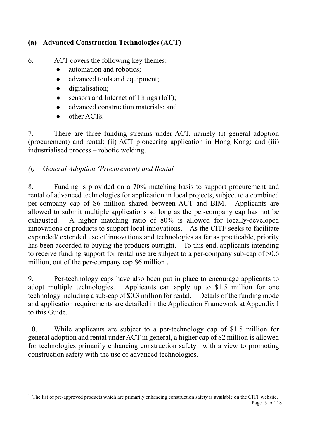# **(a) Advanced Construction Technologies (ACT)**

- 6. ACT covers the following key themes:
	- automation and robotics;
	- advanced tools and equipment;
	- $\bullet$  digitalisation;
	- sensors and Internet of Things (IoT);
	- advanced construction materials; and
	- other ACTs.

1

7. There are three funding streams under ACT, namely (i) general adoption (procurement) and rental; (ii) ACT pioneering application in Hong Kong; and (iii) industrialised process – robotic welding.

# *(i) General Adoption (Procurement) and Rental*

8. Funding is provided on a 70% matching basis to support procurement and rental of advanced technologies for application in local projects, subject to a combined per-company cap of \$6 million shared between ACT and BIM. Applicants are allowed to submit multiple applications so long as the per-company cap has not be exhausted. A higher matching ratio of 80% is allowed for locally-developed innovations or products to support local innovations. As the CITF seeks to facilitate expanded/ extended use of innovations and technologies as far as practicable, priority has been accorded to buying the products outright. To this end, applicants intending to receive funding support for rental use are subject to a per-company sub-cap of \$0.6 million, out of the per-company cap \$6 million .

9. Per-technology caps have also been put in place to encourage applicants to adopt multiple technologies. Applicants can apply up to \$1.5 million for one technology including a sub-cap of \$0.3 million for rental. Details of the funding mode and application requirements are detailed in the Application Framework at Appendix I to this Guide.

10. While applicants are subject to a per-technology cap of \$1.5 million for general adoption and rental under ACT in general, a higher cap of \$2 million is allowed for technologies primarily enhancing construction safety<sup>[1](#page-2-0)</sup> with a view to promoting construction safety with the use of advanced technologies.

<span id="page-2-0"></span> $<sup>1</sup>$  The list of pre-approved products which are primarily enhancing construction safety is available on the CITF website.</sup>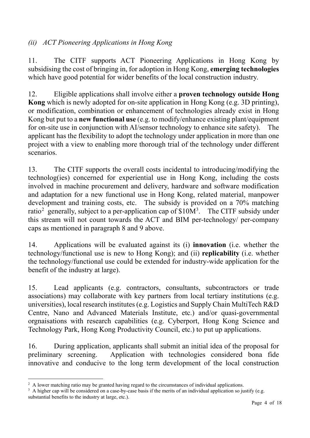# *(ii) ACT Pioneering Applications in Hong Kong*

11. The CITF supports ACT Pioneering Applications in Hong Kong by subsidising the cost of bringing in, for adoption in Hong Kong, **emerging technologies** which have good potential for wider benefits of the local construction industry.

12. Eligible applications shall involve either a **proven technology outside Hong Kong** which is newly adopted for on-site application in Hong Kong (e.g. 3D printing), or modification, combination or enhancement of technologies already exist in Hong Kong but put to a **new functional use** (e.g. to modify/enhance existing plant/equipment for on-site use in conjunction with AI/sensor technology to enhance site safety). The applicant has the flexibility to adopt the technology under application in more than one project with a view to enabling more thorough trial of the technology under different scenarios.

13. The CITF supports the overall costs incidental to introducing/modifying the technolog(ies) concerned for experiential use in Hong Kong, including the costs involved in machine procurement and delivery, hardware and software modification and adaptation for a new functional use in Hong Kong, related material, manpower development and training costs, etc. The subsidy is provided on a 70% matching ratio<sup>[2](#page-3-0)</sup> generally, subject to a per-application cap of  $$10M<sup>3</sup>$  $$10M<sup>3</sup>$  $$10M<sup>3</sup>$ . The CITF subsidy under this stream will not count towards the ACT and BIM per-technology/ per-company caps as mentioned in paragraph 8 and 9 above.

14. Applications will be evaluated against its (i) **innovation** (i.e. whether the technology/functional use is new to Hong Kong); and (ii) **replicability** (i.e. whether the technology/functional use could be extended for industry-wide application for the benefit of the industry at large).

15. Lead applicants (e.g. contractors, consultants, subcontractors or trade associations) may collaborate with key partners from local tertiary institutions (e.g. universities), local research institutes (e.g. [Logistics and Supply Chain MultiTech R&D](https://www.lscm.hk/)  [Centre, Nano and Advanced Materials Institute, etc.\) and/or q](https://www.lscm.hk/)uasi-governmental orgnaisations with research capabilities (e.g. Cyberport, Hong Kong Science and Technology Park, Hong Kong Productivity Council, etc.) to put up applications.

16. During application, applicants shall submit an initial idea of the proposal for preliminary screening. Application with technologies considered bona fide innovative and conducive to the long term development of the local construction

-

<span id="page-3-0"></span><sup>&</sup>lt;sup>2</sup> A lower matching ratio may be granted having regard to the circumstances of individual applications.

<span id="page-3-1"></span><sup>&</sup>lt;sup>3</sup> A higher cap will be considered on a case-by-case basis if the merits of an individual application so justify (e.g. substantial benefits to the industry at large, etc.).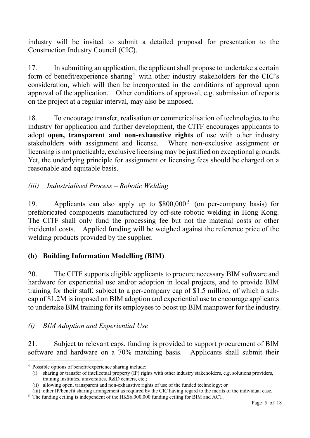industry will be invited to submit a detailed proposal for presentation to the Construction Industry Council (CIC).

17. In submitting an application, the applicant shall propose to undertake a certain form of benefit/experience sharing<sup>[4](#page-4-0)</sup> with other industry stakeholders for the CIC's consideration, which will then be incorporated in the conditions of approval upon approval of the application. Other conditions of approval, e.g. submission of reports on the project at a regular interval, may also be imposed.

18. To encourage transfer, realisation or commericalisation of technologies to the industry for application and further development, the CITF encourages applicants to adopt **open, transparent and non-exhaustive rights** of use with other industry stakeholders with assignment and license. Where non-exclusive assignment or licensing is not practicable, exclusive licensing may be justified on exceptional grounds. Yet, the underlying principle for assignment or licensing fees should be charged on a reasonable and equitable basis.

### *(iii) Industrialised Process – Robotic Welding*

19. Applicants can also apply up to \$800,000<sup>[5](#page-4-1)</sup> (on per-company basis) for prefabricated components manufactured by off-site robotic welding in Hong Kong. The CITF shall only fund the processing fee but not the material costs or other incidental costs. Applied funding will be weighed against the reference price of the welding products provided by the supplier.

#### **(b) Building Information Modelling (BIM)**

20. The CITF supports eligible applicants to procure necessary BIM software and hardware for experiential use and/or adoption in local projects, and to provide BIM training for their staff, subject to a per-company cap of \$1.5 million, of which a subcap of \$1.2M is imposed on BIM adoption and experiential use to encourage applicants to undertake BIM training for its employees to boost up BIM manpower for the industry.

#### *(i) BIM Adoption and Experiential Use*

21. Subject to relevant caps, funding is provided to support procurement of BIM software and hardware on a 70% matching basis. Applicants shall submit their

-

<span id="page-4-0"></span><sup>4</sup> Possible options of benefit/experience sharing include:

<sup>(</sup>i) sharing or transfer of intellectual property (IP) rights with other industry stakeholders, e.g. solutions providers, training institutes, universities, R&D centers, etc.;

<sup>(</sup>ii) allowing open, transparent and non-exhaustive rights of use of the funded technology; or

<sup>(</sup>iii) other IP/benefit sharing arrangement as required by the CIC having regard to the merits of the individual case.

<span id="page-4-1"></span><sup>&</sup>lt;sup>5</sup> The funding ceiling is independent of the HK\$6,000,000 funding ceiling for BIM and ACT.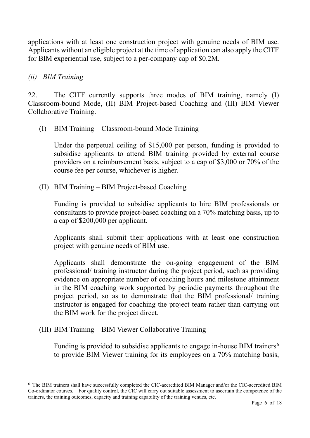applications with at least one construction project with genuine needs of BIM use. Applicants without an eligible project at the time of application can also apply the CITF for BIM experiential use, subject to a per-company cap of \$0.2M.

#### *(ii) BIM Training*

-

22. The CITF currently supports three modes of BIM training, namely (I) Classroom-bound Mode, (II) BIM Project-based Coaching and (III) BIM Viewer Collaborative Training.

(I) BIM Training – Classroom-bound Mode Training

Under the perpetual ceiling of \$15,000 per person, funding is provided to subsidise applicants to attend BIM training provided by external course providers on a reimbursement basis, subject to a cap of \$3,000 or 70% of the course fee per course, whichever is higher.

(II) BIM Training – BIM Project-based Coaching

Funding is provided to subsidise applicants to hire BIM professionals or consultants to provide project-based coaching on a 70% matching basis, up to a cap of \$200,000 per applicant.

Applicants shall submit their applications with at least one construction project with genuine needs of BIM use.

Applicants shall demonstrate the on-going engagement of the BIM professional/ training instructor during the project period, such as providing evidence on appropriate number of coaching hours and milestone attainment in the BIM coaching work supported by periodic payments throughout the project period, so as to demonstrate that the BIM professional/ training instructor is engaged for coaching the project team rather than carrying out the BIM work for the project direct.

(III) BIM Training – BIM Viewer Collaborative Training

Funding is provided to subsidise applicants to engage in-house BIM trainers<sup>[6](#page-5-0)</sup> to provide BIM Viewer training for its employees on a 70% matching basis,

<span id="page-5-0"></span><sup>6</sup> The BIM trainers shall have successfully completed the CIC-accredited BIM Manager and/or the CIC-accredited BIM Co-ordinator courses. For quality control, the CIC will carry out suitable assessment to ascertain the competence of the trainers, the training outcomes, capacity and training capability of the training venues, etc.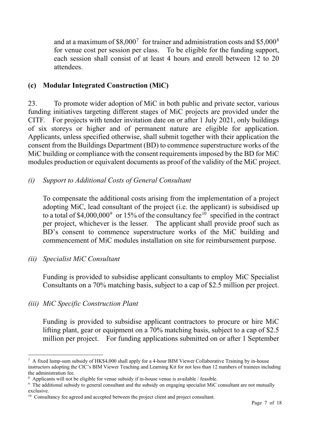and at a maximum of  $$8,000^7$  $$8,000^7$  for trainer and administration costs and  $$5,000^8$  $$5,000^8$ for venue cost per session per class. To be eligible for the funding support, each session shall consist of at least 4 hours and enroll between 12 to 20 attendees.

### **(c) Modular Integrated Construction (MiC)**

23. To promote wider adoption of MiC in both public and private sector, various funding initiatives targeting different stages of MiC projects are provided under the CITF. For projects with tender invitation date on or after 1 July 2021, only buildings of six storeys or higher and of permanent nature are eligible for application. Applicants, unless specified otherwise, shall submit together with their application the consent from the Buildings Department (BD) to commence superstructure works of the MiC building or compliance with the consent requirements imposed by the BD for MiC modules production or equivalent documents as proof of the validity of the MiC project.

### *(i) Support to Additional Costs of General Consultant*

To compensate the additional costs arising from the implementation of a project adopting MiC, lead consultant of the project (i.e. the applicant) is subsidised up to a total of  $$4,000,000^9$  $$4,000,000^9$  or 15% of the consultancy fee<sup>[10](#page-6-3)</sup> specified in the contract per project, whichever is the lesser. The applicant shall provide proof such as BD's consent to commence superstructure works of the MiC building and commencement of MiC modules installation on site for reimbursement purpose.

### *(ii) Specialist MiC Consultant*

Funding is provided to subsidise applicant consultants to employ MiC Specialist Consultants on a 70% matching basis, subject to a cap of \$2.5 million per project.

# *(iii) MiC Specific Construction Plant*

Funding is provided to subsidise applicant contractors to procure or hire MiC lifting plant, gear or equipment on a 70% matching basis, subject to a cap of \$2.5 million per project. For funding applications submitted on or after 1 September

<span id="page-6-0"></span><sup>-</sup><sup>7</sup> A fixed lump-sum subsidy of HK\$4,000 shall apply for a 4-hour BIM Viewer Collaborative Training by in-house instructors adopting the CIC's BIM Viewer Teaching and Learning Kit for not less than 12 numbers of trainees including the administration fee.

<span id="page-6-1"></span><sup>8</sup> Applicants will not be eligible for venue subsidy if in-house venue is available / feasible.

<span id="page-6-2"></span><sup>&</sup>lt;sup>9</sup> The additional subsidy to general consultant and the subsidy on engaging specialist MiC consultant are not mutually exclusive.

<span id="page-6-3"></span><sup>&</sup>lt;sup>10</sup> Consultancy fee agreed and accepted between the project client and project consultant.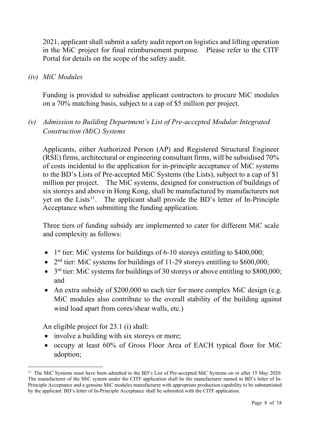2021, applicant shall submit a safety audit report on logistics and lifting operation in the MiC project for final reimbursement purpose. Please refer to the CITF Portal for details on the scope of the safety audit.

*(iv) MiC Modules*

Funding is provided to subsidise applicant contractors to procure MiC modules on a 70% matching basis, subject to a cap of \$5 million per project.

# *(v) Admission to Building Department's List of Pre-accepted Modular Integrated Construction (MiC) Systems*

Applicants, either Authorized Person (AP) and Registered Structural Engineer (RSE) firms, architectural or engineering consultant firms, will be subsidised 70% of costs incidental to the application for in-principle acceptance of MiC systems to the BD's Lists of Pre-accepted MiC Systems (the Lists), subject to a cap of \$1 million per project. The MiC systems, designed for construction of buildings of six storeys and above in Hong Kong, shall be manufactured by manufacturers not yet on the Lists<sup>[11](#page-7-0)</sup>. The applicant shall provide the BD's letter of In-Principle Acceptance when submitting the funding application.

Three tiers of funding subsidy are implemented to cater for different MiC scale and complexity as follows:

- 1st tier: MiC systems for buildings of  $6-10$  storeys entitling to \$400,000;
- $2<sup>nd</sup>$  tier: MiC systems for buildings of 11-29 storeys entitling to \$600,000;
- $\bullet$  3<sup>rd</sup> tier: MiC systems for buildings of 30 storeys or above entitling to \$800,000; and
- An extra subsidy of \$200,000 to each tier for more complex MiC design (e.g. MiC modules also contribute to the overall stability of the building against wind load apart from cores/shear walls, etc.)

An eligible project for 23.1 (i) shall:

1

- involve a building with six storeys or more;
- occupy at least 60% of Gross Floor Area of EACH typical floor for MiC adoption;

<span id="page-7-0"></span><sup>&</sup>lt;sup>11</sup> The MiC Systems must have been admitted to the BD's List of Pre-accepted MiC Systems on or after 15 May 2020. The manufacturer of the MiC system under the CITF application shall be the manufacturer named in BD's letter of In-Principle Acceptance and a genuine MiC modules manufacturer with appropriate production capability to be substantiated by the applicant. BD's letter of In-Principle Acceptance shall be submitted with the CITF application.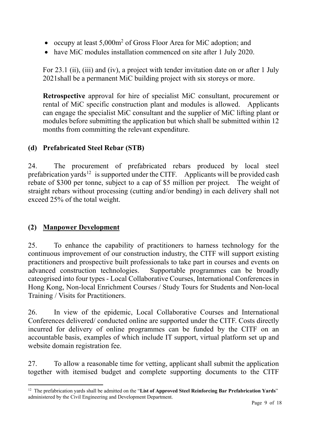- occupy at least 5,000m<sup>2</sup> of Gross Floor Area for MiC adoption; and
- have MiC modules installation commenced on site after 1 July 2020.

For 23.1 (ii), (iii) and (iv), a project with tender invitation date on or after 1 July 2021shall be a permanent MiC building project with six storeys or more.

**Retrospective** approval for hire of specialist MiC consultant, procurement or rental of MiC specific construction plant and modules is allowed. Applicants can engage the specialist MiC consultant and the supplier of MiC lifting plant or modules before submitting the application but which shall be submitted within 12 months from committing the relevant expenditure.

# **(d) Prefabricated Steel Rebar (STB)**

24. The procurement of prefabricated rebars produced by local steel prefabrication yards<sup>[12](#page-8-0)</sup> is supported under the CITF. Applicants will be provided cash rebate of \$300 per tonne, subject to a cap of \$5 million per project. The weight of straight rebars without processing (cutting and/or bending) in each delivery shall not exceed 25% of the total weight.

# **(2) Manpower Development**

25. To enhance the capability of practitioners to harness technology for the continuous improvement of our construction industry, the CITF will support existing practitioners and prospective built professionals to take part in courses and events on advanced construction technologies. Supportable programmes can be broadly cateogrised into four types - Local Collaborative Courses, International Conferences in Hong Kong, Non-local Enrichment Courses / Study Tours for Students and Non-local Training / Visits for Practitioners.

26. In view of the epidemic, Local Collaborative Courses and International Conferences delivered/ conducted online are supported under the CITF. Costs directly incurred for delivery of online programmes can be funded by the CITF on an accountable basis, examples of which include IT support, virtual platform set up and website domain registration fee.

27. To allow a reasonable time for vetting, applicant shall submit the application together with itemised budget and complete supporting documents to the CITF

<span id="page-8-0"></span><sup>1</sup> <sup>12</sup> The prefabrication yards shall be admitted on the "List of Approved Steel Reinforcing Bar Prefabrication Yards" administered by the Civil Engineering and Development Department.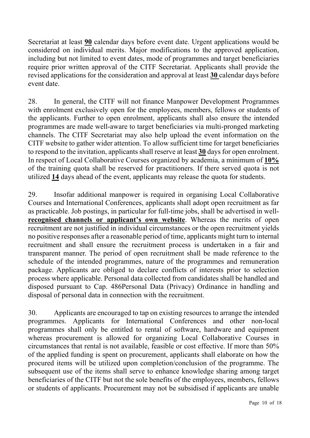Secretariat at least **90** calendar days before event date. Urgent applications would be considered on individual merits. Major modifications to the approved application, including but not limited to event dates, mode of programmes and target beneficiaries require prior written approval of the CITF Secretariat. Applicants shall provide the revised applications for the consideration and approval at least **30** calendar days before event date.

28. In general, the CITF will not finance Manpower Development Programmes with enrolment exclusively open for the employees, members, fellows or students of the applicants. Further to open enrolment, applicants shall also ensure the intended programmes are made well-aware to target beneficiaries via multi-pronged marketing channels. The CITF Secretariat may also help upload the event information on the CITF website to gather wider attention. To allow sufficient time for target beneficiaries to respond to the invitation, applicants shall reserve at least **30** days for open enrolment. In respect of Local Collaborative Courses organized by academia, a minimum of **10%** of the training quota shall be reserved for practitioners. If there served quota is not utilized **14** days ahead of the event, applicants may release the quota for students.

29. Insofar additional manpower is required in organising Local Collaborative Courses and International Conferences, applicants shall adopt open recruitment as far as practicable. Job postings, in particular for full-time jobs, shall be advertised in well**recognised channels or applicant's own website**. Whereas the merits of open recruitment are not justified in individual circumstances or the open recruitment yields no positive responses after a reasonable period of time, applicants might turn to internal recruitment and shall ensure the recruitment process is undertaken in a fair and transparent manner. The period of open recruitment shall be made reference to the schedule of the intended programmes, nature of the programmes and remuneration package. Applicants are obliged to declare conflicts of interests prior to selection process where applicable. Personal data collected from candidates shall be handled and disposed pursuant to Cap. 486Personal Data (Privacy) Ordinance in handling and disposal of personal data in connection with the recruitment.

30. Applicants are encouraged to tap on existing resources to arrange the intended programmes. Applicants for International Conferences and other non-local programmes shall only be entitled to rental of software, hardware and equipment whereas procurement is allowed for organizing Local Collaborative Courses in circumstances that rental is not available, feasible or cost effective. If more than 50% of the applied funding is spent on procurement, applicants shall elaborate on how the procured items will be utilized upon completion/conclusion of the programme. The subsequent use of the items shall serve to enhance knowledge sharing among target beneficiaries of the CITF but not the sole benefits of the employees, members, fellows or students of applicants. Procurement may not be subsidised if applicants are unable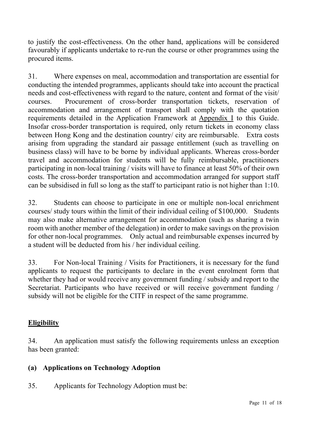to justify the cost-effectiveness. On the other hand, applications will be considered favourably if applicants undertake to re-run the course or other programmes using the procured items.

31. Where expenses on meal, accommodation and transportation are essential for conducting the intended programmes, applicants should take into account the practical needs and cost-effectiveness with regard to the nature, content and format of the visit/ courses. Procurement of cross-border transportation tickets, reservation of accommodation and arrangement of transport shall comply with the quotation requirements detailed in the Application Framework at Appendix I to this Guide. Insofar cross-border transportation is required, only return tickets in economy class between Hong Kong and the destination country/ city are reimbursable. Extra costs arising from upgrading the standard air passage entitlement (such as travelling on business class) will have to be borne by individual applicants. Whereas cross-border travel and accommodation for students will be fully reimbursable, practitioners participating in non-local training / visits will have to finance at least 50% of their own costs. The cross-border transportation and accommodation arranged for support staff can be subsidised in full so long as the staff to participant ratio is not higher than 1:10.

32. Students can choose to participate in one or multiple non-local enrichment courses/ study tours within the limit of their individual ceiling of \$100,000. Students may also make alternative arrangement for accommodation (such as sharing a twin room with another member of the delegation) in order to make savings on the provision for other non-local programmes. Only actual and reimbursable expenses incurred by a student will be deducted from his / her individual ceiling.

33. For Non-local Training / Visits for Practitioners, it is necessary for the fund applicants to request the participants to declare in the event enrolment form that whether they had or would receive any government funding / subsidy and report to the Secretariat. Participants who have received or will receive government funding / subsidy will not be eligible for the CITF in respect of the same programme.

### **Eligibility**

34. An application must satisfy the following requirements unless an exception has been granted:

### **(a) Applications on Technology Adoption**

35. Applicants for Technology Adoption must be: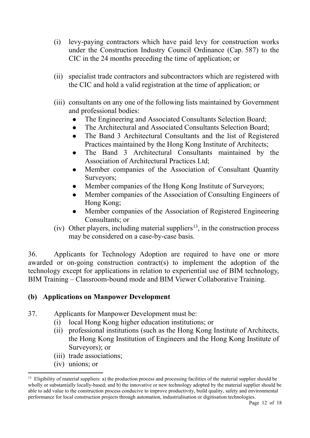- (i) levy-paying contractors which have paid levy for construction works under the Construction Industry Council Ordinance (Cap. 587) to the CIC in the 24 months preceding the time of application; or
- (ii) specialist trade contractors and subcontractors which are registered with the CIC and hold a valid registration at the time of application; or
- (iii) consultants on any one of the following lists maintained by Government and professional bodies:
	- The Engineering and Associated Consultants Selection Board;
	- The Architectural and Associated Consultants Selection Board;
	- The Band 3 Architectural Consultants and the list of Registered Practices maintained by the Hong Kong Institute of Architects;
	- The Band 3 Architectural Consultants maintained by the Association of Architectural Practices Ltd;
	- Member companies of the Association of Consultant Quantity Surveyors;
	- Member companies of the Hong Kong Institute of Surveyors;
	- Member companies of the Association of Consulting Engineers of Hong Kong;
	- Member companies of the Association of Registered Engineering Consultants; or
- (iv) Other players, including material suppliers<sup>13</sup>, in the construction process may be considered on a case-by-case basis.

36. Applicants for Technology Adoption are required to have one or more awarded or on-going construction contract(s) to implement the adoption of the technology except for applications in relation to experiential use of BIM technology, BIM Training – Classroom-bound mode and BIM Viewer Collaborative Training.

### **(b) Applications on Manpower Development**

- 37. Applicants for Manpower Development must be:
	- (i) local Hong Kong higher education institutions; or
	- (ii) professional institutions (such as the Hong Kong Institute of Architects, the Hong Kong Institution of Engineers and the Hong Kong Institute of Surveyors); or
	- (iii) trade associations;
	- (iv) unions; or

1

<span id="page-11-0"></span> $13$  Eligibility of material suppliers: a) the production process and processing facilities of the material supplier should be wholly or substantially locally-based; and b) the innovative or new technology adopted by the material supplier should be able to add value to the construction process conducive to improve productivity, build quality, safety and environmental performance for local construction projects through automation, industrialisation or digitisation technologies.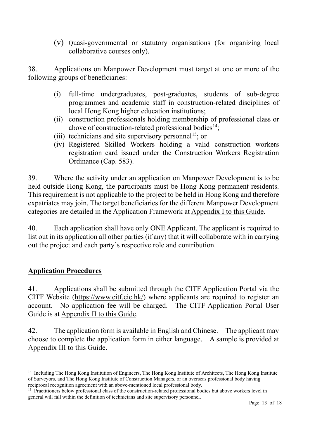(v) Quasi-governmental or statutory organisations (for organizing local collaborative courses only).

38. Applications on Manpower Development must target at one or more of the following groups of beneficiaries:

- (i) full-time undergraduates, post-graduates, students of sub-degree programmes and academic staff in construction-related disciplines of local Hong Kong higher education institutions;
- (ii) construction professionals holding membership of professional class or above of construction-related professional bodies<sup>14</sup>;
- (iii) technicians and site supervisory personnel<sup>15</sup>; or
- (iv) Registered Skilled Workers holding a valid construction workers registration card issued under the Construction Workers Registration Ordinance (Cap. 583).

39. Where the activity under an application on Manpower Development is to be held outside Hong Kong, the participants must be Hong Kong permanent residents. This requirement is not applicable to the project to be held in Hong Kong and therefore expatriates may join. The target beneficiaries for the different Manpower Development categories are detailed in the Application Framework at Appendix I to this Guide.

40. Each application shall have only ONE Applicant. The applicant is required to list out in its application all other parties (if any) that it will collaborate with in carrying out the project and each party's respective role and contribution.

### **Application Procedures**

41. Applications shall be submitted through the CITF Application Portal via the CITF Website [\(https://www.citf.cic.hk/\)](https://www.citf.cic.hk/) where applicants are required to register an account. No application fee will be charged. The CITF Application Portal User Guide is at Appendix II to this Guide.

42. The application form is available in English and Chinese. The applicant may choose to complete the application form in either language. A sample is provided at Appendix III to this Guide.

<span id="page-12-0"></span><sup>1</sup> <sup>14</sup> Including The Hong Kong Institution of Engineers, The Hong Kong Institute of Architects, The Hong Kong Institute of Surveyors, and The Hong Kong Institute of Construction Managers, or an overseas professional body having reciprocal recognition agreement with an above-mentioned local professional body.

<span id="page-12-1"></span><sup>&</sup>lt;sup>15</sup> Practitioners below professional class of the construction-related professional bodies but above workers level in general will fall within the definition of technicians and site supervisory personnel.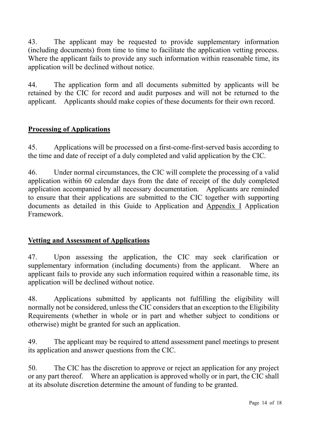43. The applicant may be requested to provide supplementary information (including documents) from time to time to facilitate the application vetting process. Where the applicant fails to provide any such information within reasonable time, its application will be declined without notice.

44. The application form and all documents submitted by applicants will be retained by the CIC for record and audit purposes and will not be returned to the applicant. Applicants should make copies of these documents for their own record.

### **Processing of Applications**

45. Applications will be processed on a first-come-first-served basis according to the time and date of receipt of a duly completed and valid application by the CIC.

46. Under normal circumstances, the CIC will complete the processing of a valid application within 60 calendar days from the date of receipt of the duly completed application accompanied by all necessary documentation. Applicants are reminded to ensure that their applications are submitted to the CIC together with supporting documents as detailed in this Guide to Application and Appendix I Application Framework.

### **Vetting and Assessment of Applications**

47. Upon assessing the application, the CIC may seek clarification or supplementary information (including documents) from the applicant. Where an applicant fails to provide any such information required within a reasonable time, its application will be declined without notice.

48. Applications submitted by applicants not fulfilling the eligibility will normally not be considered, unless the CIC considers that an exception to the Eligibility Requirements (whether in whole or in part and whether subject to conditions or otherwise) might be granted for such an application.

49. The applicant may be required to attend assessment panel meetings to present its application and answer questions from the CIC.

50. The CIC has the discretion to approve or reject an application for any project or any part thereof. Where an application is approved wholly or in part, the CIC shall at its absolute discretion determine the amount of funding to be granted.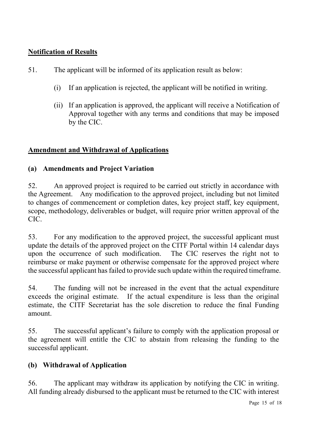## **Notification of Results**

- 51. The applicant will be informed of its application result as below:
	- (i) If an application is rejected, the applicant will be notified in writing.
	- (ii) If an application is approved, the applicant will receive a Notification of Approval together with any terms and conditions that may be imposed by the CIC.

### **Amendment and Withdrawal of Applications**

### **(a) Amendments and Project Variation**

52. An approved project is required to be carried out strictly in accordance with the Agreement. Any modification to the approved project, including but not limited to changes of commencement or completion dates, key project staff, key equipment, scope, methodology, deliverables or budget, will require prior written approval of the CIC.

53. For any modification to the approved project, the successful applicant must update the details of the approved project on the CITF Portal within 14 calendar days upon the occurrence of such modification. The CIC reserves the right not to reimburse or make payment or otherwise compensate for the approved project where the successful applicant has failed to provide such update within the required timeframe.

54. The funding will not be increased in the event that the actual expenditure exceeds the original estimate. If the actual expenditure is less than the original estimate, the CITF Secretariat has the sole discretion to reduce the final Funding amount.

55. The successful applicant's failure to comply with the application proposal or the agreement will entitle the CIC to abstain from releasing the funding to the successful applicant.

# **(b) Withdrawal of Application**

56. The applicant may withdraw its application by notifying the CIC in writing. All funding already disbursed to the applicant must be returned to the CIC with interest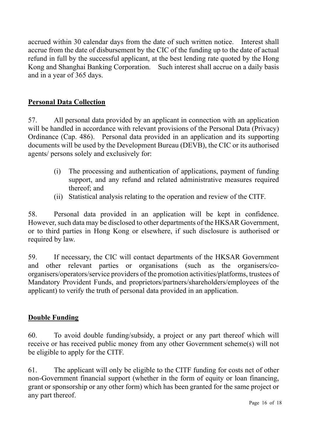accrued within 30 calendar days from the date of such written notice. Interest shall accrue from the date of disbursement by the CIC of the funding up to the date of actual refund in full by the successful applicant, at the best lending rate quoted by the Hong Kong and Shanghai Banking Corporation. Such interest shall accrue on a daily basis and in a year of 365 days.

### **Personal Data Collection**

57. All personal data provided by an applicant in connection with an application will be handled in accordance with relevant provisions of the Personal Data (Privacy) Ordinance (Cap. 486). Personal data provided in an application and its supporting documents will be used by the Development Bureau (DEVB), the CIC or its authorised agents/ persons solely and exclusively for:

- (i) The processing and authentication of applications, payment of funding support, and any refund and related administrative measures required thereof; and
- (ii) Statistical analysis relating to the operation and review of the CITF.

58. Personal data provided in an application will be kept in confidence. However, such data may be disclosed to other departments of the HKSAR Government, or to third parties in Hong Kong or elsewhere, if such disclosure is authorised or required by law.

59. If necessary, the CIC will contact departments of the HKSAR Government and other relevant parties or organisations (such as the organisers/coorganisers/operators/service providers of the promotion activities/platforms, trustees of Mandatory Provident Funds, and proprietors/partners/shareholders/employees of the applicant) to verify the truth of personal data provided in an application.

### **Double Funding**

60. To avoid double funding/subsidy, a project or any part thereof which will receive or has received public money from any other Government scheme(s) will not be eligible to apply for the CITF.

61. The applicant will only be eligible to the CITF funding for costs net of other non-Government financial support (whether in the form of equity or loan financing, grant or sponsorship or any other form) which has been granted for the same project or any part thereof.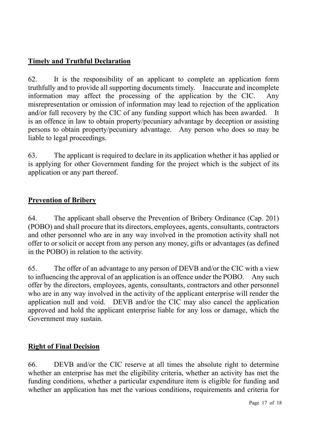## **Timely and Truthful Declaration**

62. It is the responsibility of an applicant to complete an application form truthfully and to provide all supporting documents timely. Inaccurate and incomplete information may affect the processing of the application by the CIC. Any misrepresentation or omission of information may lead to rejection of the application and/or full recovery by the CIC of any funding support which has been awarded. is an offence in law to obtain property/pecuniary advantage by deception or assisting persons to obtain property/pecuniary advantage. Any person who does so may be liable to legal proceedings.

63. The applicant is required to declare in its application whether it has applied or is applying for other Government funding for the project which is the subject of its application or any part thereof.

### **Prevention of Bribery**

64. The applicant shall observe the Prevention of Bribery Ordinance (Cap. 201) (POBO) and shall procure that its directors, employees, agents, consultants, contractors and other personnel who are in any way involved in the promotion activity shall not offer to or solicit or accept from any person any money, gifts or advantages (as defined in the POBO) in relation to the activity.

65. The offer of an advantage to any person of DEVB and/or the CIC with a view to influencing the approval of an application is an offence under the POBO. Any such offer by the directors, employees, agents, consultants, contractors and other personnel who are in any way involved in the activity of the applicant enterprise will render the application null and void. DEVB and/or the CIC may also cancel the application approved and hold the applicant enterprise liable for any loss or damage, which the Government may sustain.

#### **Right of Final Decision**

66. DEVB and/or the CIC reserve at all times the absolute right to determine whether an enterprise has met the eligibility criteria, whether an activity has met the funding conditions, whether a particular expenditure item is eligible for funding and whether an application has met the various conditions, requirements and criteria for